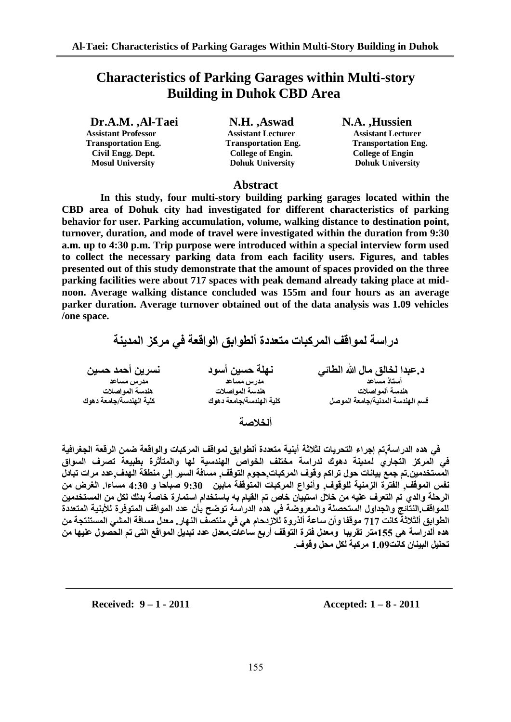# **Characteristics of Parking Garages within Multi-story Building in Duhok CBD Area**

**Dr.A.M. ,Al-Taei N.H. ,Aswad N.A. ,Hussien Assistant Professor Assistant Lecturer Assistant Lecturer Transportation Eng. Transportation Eng. Transportation Eng. Civil Engg. Dept. College of Engin. College of Engin** 

 **Mosul University Dohuk University Dohuk University**

#### **Abstract**

 **In this study, four multi-story building parking garages located within the CBD area of Dohuk city had investigated for different characteristics of parking behavior for user. Parking accumulation, volume, walking distance to destination point, turnover, duration, and mode of travel were investigated within the duration from 9:30 a.m. up to 4:30 p.m. Trip purpose were introduced within a special interview form used to collect the necessary parking data from each facility users. Figures, and tables presented out of this study demonstrate that the amount of spaces provided on the three parking facilities were about 717 spaces with peak demand already taking place at midnoon. Average walking distance concluded was 155m and four hours as an average parker duration. Average turnover obtained out of the data analysis was 1.09 vehicles /one space.** 

در اسة لمو اقف المركبات متعددة ألطوابق الواقعة ف*ي* مركز المدينة

| نسرين أحمد حسين         | نهلة حسين أسود          | د عبدا لخالق مال الله الطائي     |
|-------------------------|-------------------------|----------------------------------|
| مدرس مساعد              | مدرس مساعد              | أستاذ مساعد                      |
| هندسة المواصلات         | هندسة المواصلات         | هندسة ألمواصلات                  |
| كلية الهندسة/جامعة دهوك | كلية الهندسة/جامعة دهوك | قسم الهندسة المدنية/جامعة الموصل |
|                         | ألخلاصة                 |                                  |

ِفْي هذه الدراسة تم إجراء التحريات لثلاثة أبنية متعددة ألطوابق لمواقف المركبات والواقعة ضمن الرقعة الجغرافية فى المركز التجا*ري* لمدينة دهوك لدراسة مختلف الخواص الهندسية لها والمتأثرة بطبيعة تصرف السواق المستخدمين تم جمع بيانات حول تراكم وفوف المركبات حجوم التوقف. مسافة السير إلى منطقة الهدف عدد مرات تبادل **ٔفظ اٌّٛلف, اٌفخشة اٌضٍِٕت ٌٍٛلٛف, ٚأٛٔاع اٌّشوباث اٌّخٛلفت ِابٍٓ 03:0 صباحا ٚ 03:0 ِغاءا. اٌغشض ِٓ**  الرحلة والدي تم التعرف عليه من خلال استبيان خاص تم القيام به باستخدام استمارة خاصة بدلك لكل من المستخدمين للمواقف.النتائج والجداول الستحصلة والمعروضة في هذه الدراسة توضح بأن عدد المواقف المتوفرة للأبنية المتعددة الطوابق ألثلاثة كانت 717 موقفا وأن ساعة ألذروة للازدحام هي في منتصف النهار. معدل مسافة المشي المستنتجة من هذه ألدراسة هي 155متر. تقريبا ِ ومعدل فترة التوقف أربع ساعات ِمعدل عدد تبديل المواقع التي تم الحصول عليها من تحليل البينان كانت1.09 مر كبة لكل محل و <u>قو</u>ف.

**Received: 9 – 1 - 2011 Accepted: 1 – 8 - 2011**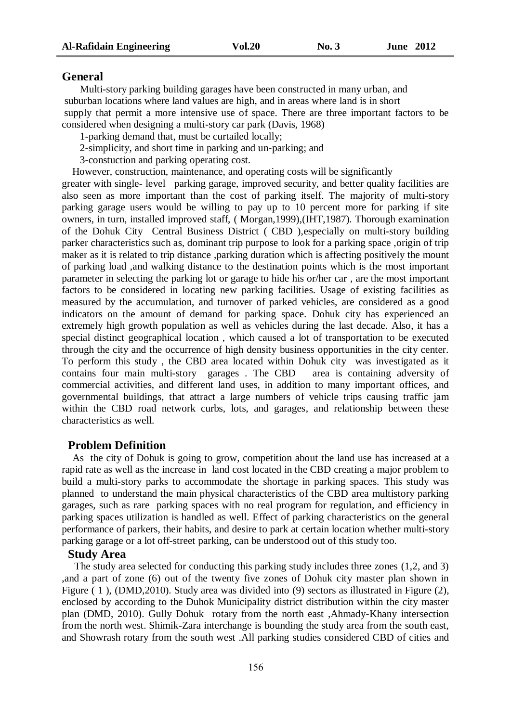#### **General**

Multi-story parking building garages have been constructed in many urban, and suburban locations where land values are high, and in areas where land is in short supply that permit a more intensive use of space. There are three important factors to be considered when designing a multi-story car park (Davis, 1968)

1-parking demand that, must be curtailed locally;

2-simplicity, and short time in parking and un-parking; and

3-constuction and parking operating cost.

 However, construction, maintenance, and operating costs will be significantly greater with single- level parking garage, improved security, and better quality facilities are also seen as more important than the cost of parking itself. The majority of multi-story parking garage users would be willing to pay up to 10 percent more for parking if site owners, in turn, installed improved staff, ( Morgan,1999),(IHT,1987). Thorough examination of the Dohuk City Central Business District ( CBD ),especially on multi-story building parker characteristics such as, dominant trip purpose to look for a parking space ,origin of trip maker as it is related to trip distance ,parking duration which is affecting positively the mount of parking load ,and walking distance to the destination points which is the most important parameter in selecting the parking lot or garage to hide his or/her car , are the most important factors to be considered in locating new parking facilities. Usage of existing facilities as measured by the accumulation, and turnover of parked vehicles, are considered as a good indicators on the amount of demand for parking space. Dohuk city has experienced an extremely high growth population as well as vehicles during the last decade. Also, it has a special distinct geographical location , which caused a lot of transportation to be executed through the city and the occurrence of high density business opportunities in the city center. To perform this study , the CBD area located within Dohuk city was investigated as it contains four main multi-story garages . The CBD area is containing adversity of commercial activities, and different land uses, in addition to many important offices, and governmental buildings, that attract a large numbers of vehicle trips causing traffic jam within the CBD road network curbs, lots, and garages, and relationship between these characteristics as well.

#### **Problem Definition**

 As the city of Dohuk is going to grow, competition about the land use has increased at a rapid rate as well as the increase in land cost located in the CBD creating a major problem to build a multi-story parks to accommodate the shortage in parking spaces. This study was planned to understand the main physical characteristics of the CBD area multistory parking garages, such as rare parking spaces with no real program for regulation, and efficiency in parking spaces utilization is handled as well. Effect of parking characteristics on the general performance of parkers, their habits, and desire to park at certain location whether multi-story parking garage or a lot off-street parking, can be understood out of this study too.

#### **Study Area**

 The study area selected for conducting this parking study includes three zones (1,2, and 3) ,and a part of zone (6) out of the twenty five zones of Dohuk city master plan shown in Figure ( 1 ), (DMD,2010). Study area was divided into (9) sectors as illustrated in Figure (2), enclosed by according to the Duhok Municipality district distribution within the city master plan (DMD, 2010). Gully Dohuk rotary from the north east ,Ahmady-Khany intersection from the north west. Shimik-Zara interchange is bounding the study area from the south east, and Showrash rotary from the south west .All parking studies considered CBD of cities and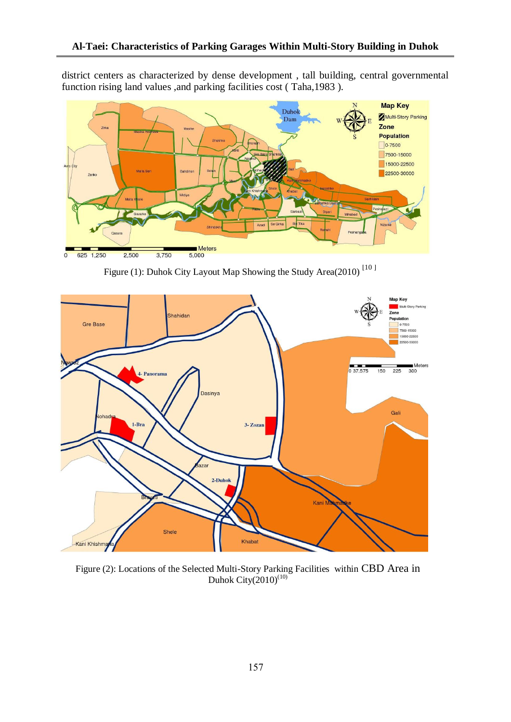district centers as characterized by dense development , tall building, central governmental function rising land values ,and parking facilities cost ( Taha,1983 ).



Figure (1): Duhok City Layout Map Showing the Study Area(2010)<sup>[10]</sup>



Figure (2): Locations of the Selected Multi-Story Parking Facilities within CBD Area in Duhok City $(2010)^{(10)}$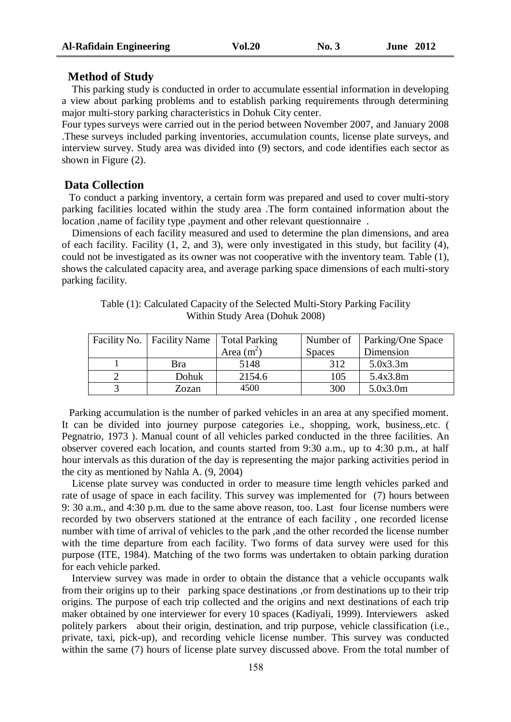#### **Method of Study**

 This parking study is conducted in order to accumulate essential information in developing a view about parking problems and to establish parking requirements through determining major multi-story parking characteristics in Dohuk City center.

Four types surveys were carried out in the period between November 2007, and January 2008 .These surveys included parking inventories, accumulation counts, license plate surveys, and interview survey. Study area was divided into (9) sectors, and code identifies each sector as shown in Figure (2).

### **Data Collection**

 To conduct a parking inventory, a certain form was prepared and used to cover multi-story parking facilities located within the study area .The form contained information about the location ,name of facility type ,payment and other relevant questionnaire .

 Dimensions of each facility measured and used to determine the plan dimensions, and area of each facility. Facility (1, 2, and 3), were only investigated in this study, but facility (4), could not be investigated as its owner was not cooperative with the inventory team. Table (1), shows the calculated capacity area, and average parking space dimensions of each multi-story parking facility.

| Facility No.   Facility Name | Total Parking |               | Number of   Parking/One Space |
|------------------------------|---------------|---------------|-------------------------------|
|                              | Area $(m2)$   | <b>Spaces</b> | Dimension                     |
| Bra                          | 5148          | 312           | 5.0x3.3m                      |
| Dohuk                        | 2154.6        | 105           | 5.4x3.8m                      |
| Zozan                        | 4500          | 300           | 5.0x3.0m                      |

Table (1): Calculated Capacity of the Selected Multi-Story Parking Facility Within Study Area (Dohuk 2008)

 Parking accumulation is the number of parked vehicles in an area at any specified moment. It can be divided into journey purpose categories i.e., shopping, work, business,.etc. ( Pegnatrio, 1973 ). Manual count of all vehicles parked conducted in the three facilities. An observer covered each location, and counts started from 9:30 a.m., up to 4:30 p.m., at half hour intervals as this duration of the day is representing the major parking activities period in the city as mentioned by Nahla A. (9, 2004)

 License plate survey was conducted in order to measure time length vehicles parked and rate of usage of space in each facility. This survey was implemented for (7) hours between 9: 30 a.m., and 4:30 p.m. due to the same above reason, too. Last four license numbers were recorded by two observers stationed at the entrance of each facility , one recorded license number with time of arrival of vehicles to the park ,and the other recorded the license number with the time departure from each facility. Two forms of data survey were used for this purpose (ITE, 1984). Matching of the two forms was undertaken to obtain parking duration for each vehicle parked.

 Interview survey was made in order to obtain the distance that a vehicle occupants walk from their origins up to their parking space destinations ,or from destinations up to their trip origins. The purpose of each trip collected and the origins and next destinations of each trip maker obtained by one interviewer for every 10 spaces (Kadiyali, 1999). Interviewers asked politely parkers about their origin, destination, and trip purpose, vehicle classification (i.e., private, taxi, pick-up), and recording vehicle license number. This survey was conducted within the same (7) hours of license plate survey discussed above. From the total number of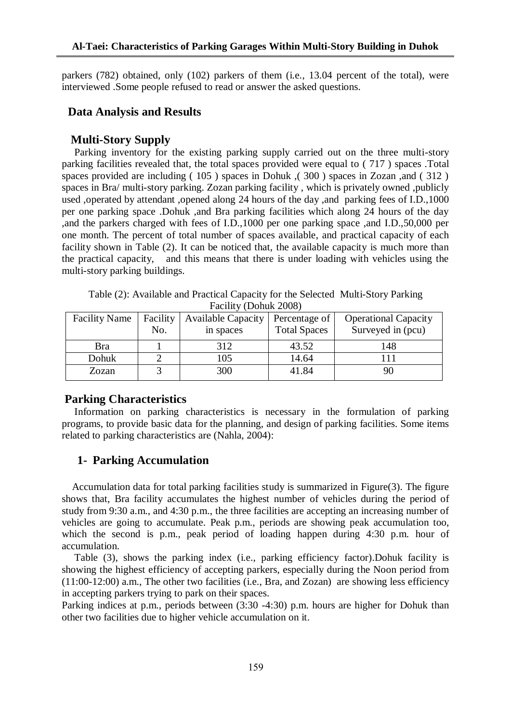parkers (782) obtained, only (102) parkers of them (i.e., 13.04 percent of the total), were interviewed .Some people refused to read or answer the asked questions.

#### **Data Analysis and Results**

#### **Multi-Story Supply**

 Parking inventory for the existing parking supply carried out on the three multi-story parking facilities revealed that, the total spaces provided were equal to ( 717 ) spaces .Total spaces provided are including ( 105 ) spaces in Dohuk ,( 300 ) spaces in Zozan ,and ( 312 ) spaces in Bra/ multi-story parking. Zozan parking facility , which is privately owned ,publicly used ,operated by attendant ,opened along 24 hours of the day ,and parking fees of I.D.,1000 per one parking space .Dohuk ,and Bra parking facilities which along 24 hours of the day ,and the parkers charged with fees of I.D.,1000 per one parking space ,and I.D.,50,000 per one month. The percent of total number of spaces available, and practical capacity of each facility shown in Table (2). It can be noticed that, the available capacity is much more than the practical capacity, and this means that there is under loading with vehicles using the multi-story parking buildings.

Table (2): Available and Practical Capacity for the Selected Multi-Story Parking Facility (Dohuk 2008)

| <b>Facility Name</b> | Facility | <b>Available Capacity</b> | Percentage of       | <b>Operational Capacity</b> |  |  |  |  |  |  |  |
|----------------------|----------|---------------------------|---------------------|-----------------------------|--|--|--|--|--|--|--|
|                      | No.      | in spaces                 | <b>Total Spaces</b> | Surveyed in (pcu)           |  |  |  |  |  |  |  |
| Bra                  |          | 312                       | 43.52               | 148                         |  |  |  |  |  |  |  |
| Dohuk                |          | 105                       | 14.64               | 111                         |  |  |  |  |  |  |  |
| Zozan                |          | 300                       | 41.84               | 90                          |  |  |  |  |  |  |  |
|                      |          |                           |                     |                             |  |  |  |  |  |  |  |

#### **Parking Characteristics**

 Information on parking characteristics is necessary in the formulation of parking programs, to provide basic data for the planning, and design of parking facilities. Some items related to parking characteristics are (Nahla, 2004):

#### **1- Parking Accumulation**

 Accumulation data for total parking facilities study is summarized in Figure(3). The figure shows that, Bra facility accumulates the highest number of vehicles during the period of study from 9:30 a.m., and 4:30 p.m., the three facilities are accepting an increasing number of vehicles are going to accumulate. Peak p.m., periods are showing peak accumulation too, which the second is p.m., peak period of loading happen during 4:30 p.m. hour of accumulation.

 Table (3), shows the parking index (i.e., parking efficiency factor).Dohuk facility is showing the highest efficiency of accepting parkers, especially during the Noon period from (11:00-12:00) a.m., The other two facilities (i.e., Bra, and Zozan) are showing less efficiency in accepting parkers trying to park on their spaces.

Parking indices at p.m., periods between (3:30 -4:30) p.m. hours are higher for Dohuk than other two facilities due to higher vehicle accumulation on it.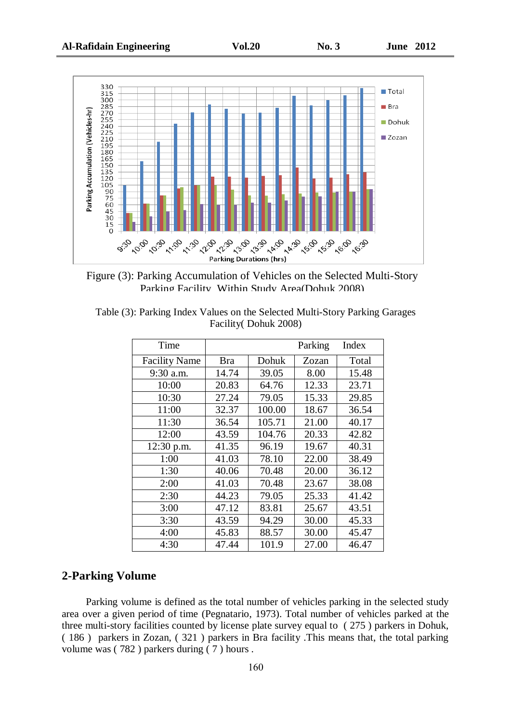

Figure (3): Parking Accumulation of Vehicles on the Selected Multi-Story Parking Facility Within Study Area(Dohuk 2008)

| Table (3): Parking Index Values on the Selected Multi-Story Parking Garages |                       |  |  |
|-----------------------------------------------------------------------------|-----------------------|--|--|
|                                                                             | Facility (Dohuk 2008) |  |  |

| Time                 |       |        | Parking | Index |
|----------------------|-------|--------|---------|-------|
| <b>Facility Name</b> | Bra   | Dohuk  | Zozan   | Total |
| 9:30 a.m.            | 14.74 | 39.05  | 8.00    | 15.48 |
| 10:00                | 20.83 | 64.76  | 12.33   | 23.71 |
| 10:30                | 27.24 | 79.05  | 15.33   | 29.85 |
| 11:00                | 32.37 | 100.00 | 18.67   | 36.54 |
| 11:30                | 36.54 | 105.71 | 21.00   | 40.17 |
| 12:00                | 43.59 | 104.76 | 20.33   | 42.82 |
| 12:30 p.m.           | 41.35 | 96.19  | 19.67   | 40.31 |
| 1:00                 | 41.03 | 78.10  | 22.00   | 38.49 |
| 1:30                 | 40.06 | 70.48  | 20.00   | 36.12 |
| 2:00                 | 41.03 | 70.48  | 23.67   | 38.08 |
| 2:30                 | 44.23 | 79.05  | 25.33   | 41.42 |
| 3:00                 | 47.12 | 83.81  | 25.67   | 43.51 |
| 3:30                 | 43.59 | 94.29  | 30.00   | 45.33 |
| 4:00                 | 45.83 | 88.57  | 30.00   | 45.47 |
| 4:30                 | 47.44 | 101.9  | 27.00   | 46.47 |

#### **2-Parking Volume**

Parking volume is defined as the total number of vehicles parking in the selected study area over a given period of time (Pegnatario, 1973). Total number of vehicles parked at the three multi-story facilities counted by license plate survey equal to ( 275 ) parkers in Dohuk, ( 186 ) parkers in Zozan, ( 321 ) parkers in Bra facility .This means that, the total parking volume was ( 782 ) parkers during ( 7 ) hours .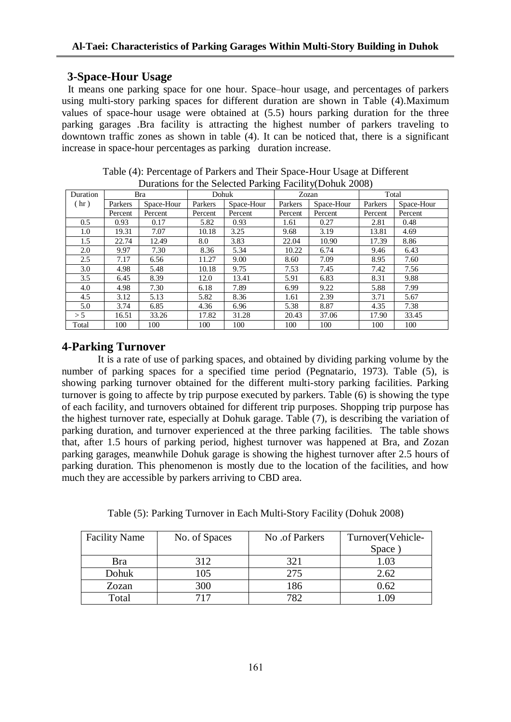## **3-Space-Hour Usag***e*

It means one parking space for one hour. Space–hour usage, and percentages of parkers using multi-story parking spaces for different duration are shown in Table (4).Maximum values of space-hour usage were obtained at (5.5) hours parking duration for the three parking garages .Bra facility is attracting the highest number of parkers traveling to downtown traffic zones as shown in table (4). It can be noticed that, there is a significant increase in space-hour percentages as parking duration increase.

|               | Durations for the Science I arising Factury Donus 2000) |            |         |            |         |            |         |            |  |  |  |
|---------------|---------------------------------------------------------|------------|---------|------------|---------|------------|---------|------------|--|--|--|
| Duration      |                                                         | Bra        |         | Dohuk      |         | Zozan      |         | Total      |  |  |  |
| (hr)          | Parkers                                                 | Space-Hour | Parkers | Space-Hour | Parkers | Space-Hour | Parkers | Space-Hour |  |  |  |
|               | Percent                                                 | Percent    | Percent | Percent    | Percent | Percent    | Percent | Percent    |  |  |  |
| $0.5^{\circ}$ | 0.93                                                    | 0.17       | 5.82    | 0.93       | 1.61    | 0.27       | 2.81    | 0.48       |  |  |  |
| $1.0\,$       | 19.31                                                   | 7.07       | 10.18   | 3.25       | 9.68    | 3.19       | 13.81   | 4.69       |  |  |  |
| 1.5           | 22.74                                                   | 12.49      | 8.0     | 3.83       | 22.04   | 10.90      | 17.39   | 8.86       |  |  |  |
| 2.0           | 9.97                                                    | 7.30       | 8.36    | 5.34       | 10.22   | 6.74       | 9.46    | 6.43       |  |  |  |
| 2.5           | 7.17                                                    | 6.56       | 11.27   | 9.00       | 8.60    | 7.09       | 8.95    | 7.60       |  |  |  |
| 3.0           | 4.98                                                    | 5.48       | 10.18   | 9.75       | 7.53    | 7.45       | 7.42    | 7.56       |  |  |  |
| 3.5           | 6.45                                                    | 8.39       | 12.0    | 13.41      | 5.91    | 6.83       | 8.31    | 9.88       |  |  |  |
| 4.0           | 4.98                                                    | 7.30       | 6.18    | 7.89       | 6.99    | 9.22       | 5.88    | 7.99       |  |  |  |
| 4.5           | 3.12                                                    | 5.13       | 5.82    | 8.36       | 1.61    | 2.39       | 3.71    | 5.67       |  |  |  |
| 5.0           | 3.74                                                    | 6.85       | 4.36    | 6.96       | 5.38    | 8.87       | 4.35    | 7.38       |  |  |  |
| > 5           | 16.51                                                   | 33.26      | 17.82   | 31.28      | 20.43   | 37.06      | 17.90   | 33.45      |  |  |  |
| Total         | 100                                                     | 100        | 100     | 100        | 100     | 100        | 100     | 100        |  |  |  |

Table (4): Percentage of Parkers and Their Space-Hour Usage at Different Durations for the Selected Parking  $\overline{F}$  acility(Dohuk 2008)

## **4-Parking Turnover**

 It is a rate of use of parking spaces, and obtained by dividing parking volume by the number of parking spaces for a specified time period (Pegnatario, 1973). Table (5), is showing parking turnover obtained for the different multi-story parking facilities. Parking turnover is going to affecte by trip purpose executed by parkers. Table (6) is showing the type of each facility, and turnovers obtained for different trip purposes. Shopping trip purpose has the highest turnover rate, especially at Dohuk garage. Table (7), is describing the variation of parking duration, and turnover experienced at the three parking facilities. The table shows that, after 1.5 hours of parking period, highest turnover was happened at Bra, and Zozan parking garages, meanwhile Dohuk garage is showing the highest turnover after 2.5 hours of parking duration. This phenomenon is mostly due to the location of the facilities, and how much they are accessible by parkers arriving to CBD area.

| Table (5): Parking Turnover in Each Multi-Story Facility (Dohuk 2008) |  |
|-----------------------------------------------------------------------|--|
|                                                                       |  |

| <b>Facility Name</b> | No. of Spaces | No .of Parkers | Turnover(Vehicle- |
|----------------------|---------------|----------------|-------------------|
|                      |               |                | Space             |
| Bra                  | 312           | 321            | 1.03              |
| Dohuk                | 105           | 275            | 2.62              |
| Zozan                | 300           | 186            | 0.62              |
| Total                | 717           | 797            | ng                |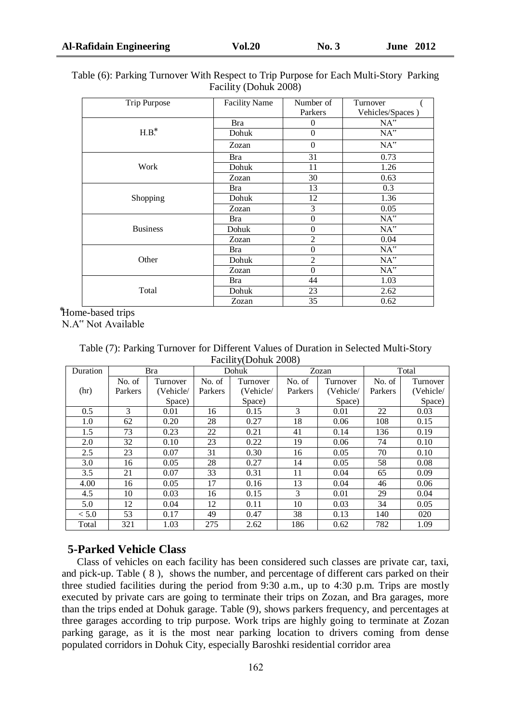| Trip Purpose    | <b>Facility Name</b> | Number of      | Turnover            |
|-----------------|----------------------|----------------|---------------------|
|                 |                      | Parkers        | Vehicles/Spaces)    |
|                 | Bra                  | $\theta$       | $NA^{\prime\prime}$ |
| $H.B.*$         | Dohuk                | $\theta$       | $NA^{\prime\prime}$ |
|                 | Zozan                | $\Omega$       | NA''                |
|                 | Bra                  | 31             | 0.73                |
| Work            | Dohuk                | 11             | 1.26                |
|                 | Zozan                | 30             | 0.63                |
|                 | Bra                  | 13             | 0.3                 |
| Shopping        | Dohuk                | 12             | 1.36                |
|                 | Zozan                | 3              | 0.05                |
|                 | Bra                  | $\theta$       | $NA^{\prime\prime}$ |
| <b>Business</b> | Dohuk                | $\theta$       | $NA^{\prime\prime}$ |
|                 | Zozan                | $\overline{2}$ | 0.04                |
|                 | Bra                  | $\theta$       | $NA^{\prime\prime}$ |
| Other           | Dohuk                | $\overline{2}$ | NA''                |
|                 | Zozan                | $\theta$       | NA''                |
|                 | Bra                  | 44             | 1.03                |
| Total           | Dohuk                | 23             | 2.62                |

Table (6): Parking Turnover With Respect to Trip Purpose for Each Multi-Story Parking Facility (Dohuk 2008)

*<u>Home-based trips</u>* N.A" Not Available

Table (7): Parking Turnover for Different Values of Duration in Selected Multi-Story Facility(Dohuk 2008)

Zozan 35 0.62

| Duration |         | Bra       |         | Dohuk     |         | Zozan     |         | Total     |
|----------|---------|-----------|---------|-----------|---------|-----------|---------|-----------|
|          | No. of  | Turnover  | No. of  | Turnover  | No. of  | Turnover  | No. of  | Turnover  |
| (hr)     | Parkers | (Vehicle/ | Parkers | (Vehicle/ | Parkers | (Vehicle/ | Parkers | (Vehicle/ |
|          |         | Space)    |         | Space)    |         | Space)    |         | Space)    |
| 0.5      | 3       | 0.01      | 16      | 0.15      | 3       | 0.01      | 22      | 0.03      |
| 1.0      | 62      | 0.20      | 28      | 0.27      | 18      | 0.06      | 108     | 0.15      |
| 1.5      | 73      | 0.23      | 22      | 0.21      | 41      | 0.14      | 136     | 0.19      |
| 2.0      | 32      | 0.10      | 23      | 0.22      | 19      | 0.06      | 74      | 0.10      |
| 2.5      | 23      | 0.07      | 31      | 0.30      | 16      | 0.05      | 70      | 0.10      |
| 3.0      | 16      | 0.05      | 28      | 0.27      | 14      | 0.05      | 58      | 0.08      |
| 3.5      | 21      | 0.07      | 33      | 0.31      | 11      | 0.04      | 65      | 0.09      |
| 4.00     | 16      | 0.05      | 17      | 0.16      | 13      | 0.04      | 46      | 0.06      |
| 4.5      | 10      | 0.03      | 16      | 0.15      | 3       | 0.01      | 29      | 0.04      |
| 5.0      | 12      | 0.04      | 12      | 0.11      | 10      | 0.03      | 34      | 0.05      |
| < 5.0    | 53      | 0.17      | 49      | 0.47      | 38      | 0.13      | 140     | 020       |
| Total    | 321     | 1.03      | 275     | 2.62      | 186     | 0.62      | 782     | 1.09      |

## **5-Parked Vehicle Clas***s*

 Class of vehicles on each facility has been considered such classes are private car, taxi, and pick-up. Table ( 8 ), shows the number, and percentage of different cars parked on their three studied facilities during the period from 9:30 a.m., up to 4:30 p.m. Trips are mostly executed by private cars are going to terminate their trips on Zozan, and Bra garages, more than the trips ended at Dohuk garage. Table (9), shows parkers frequency, and percentages at three garages according to trip purpose. Work trips are highly going to terminate at Zozan parking garage, as it is the most near parking location to drivers coming from dense populated corridors in Dohuk City, especially Baroshki residential corridor area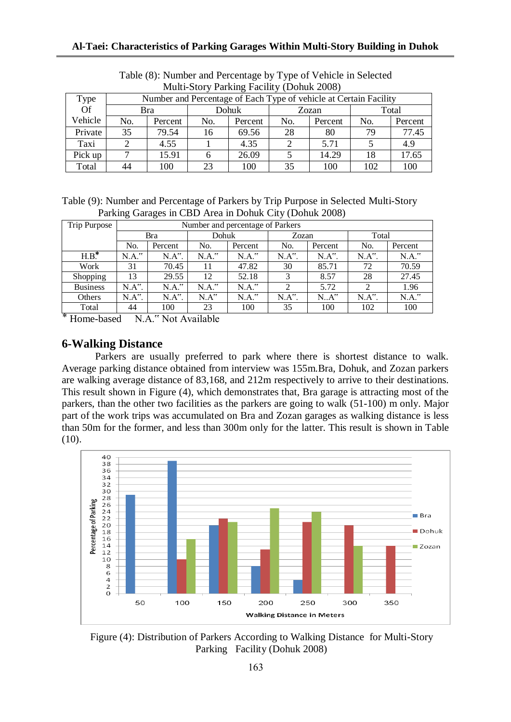| Multi-Story Parking Facility (Donuk 2008) |     |                                                                   |              |         |     |         |     |         |  |  |  |
|-------------------------------------------|-----|-------------------------------------------------------------------|--------------|---------|-----|---------|-----|---------|--|--|--|
| Type                                      |     | Number and Percentage of Each Type of vehicle at Certain Facility |              |         |     |         |     |         |  |  |  |
| Of                                        |     | Bra                                                               | <b>Dohuk</b> |         |     | Zozan   |     | Total   |  |  |  |
| Vehicle                                   | No. | Percent                                                           | No.          | Percent | No. | Percent | No. | Percent |  |  |  |
| Private                                   | 35  | 79.54                                                             | 16           | 69.56   | 28  | 80      | 79  | 77.45   |  |  |  |
| Taxi                                      |     | 4.55                                                              |              | 4.35    |     | 5.71    |     | 4.9     |  |  |  |
| Pick up                                   | ⇁   | 15.91                                                             |              | 26.09   |     | 14.29   | 18  | 17.65   |  |  |  |
| Total                                     | 44  | 100                                                               | 23           | 100     | 35  | 100     | 102 | 100     |  |  |  |

Table (8): Number and Percentage by Type of Vehicle in Selected Multi-Story Parking Facility (Dohuk 2008)

Table (9): Number and Percentage of Parkers by Trip Purpose in Selected Multi-Story Parking Garages in CBD Area in Dohuk City (Dohuk 2008)

| Trip Purpose                      |          | Number and percentage of Parkers |          |          |                        |          |          |          |  |  |
|-----------------------------------|----------|----------------------------------|----------|----------|------------------------|----------|----------|----------|--|--|
|                                   |          | <b>Bra</b>                       | Dohuk    |          | Zozan                  |          | Total    |          |  |  |
|                                   | No.      | Percent                          | No.      | Percent  | No.                    | Percent  | No.      | Percent  |  |  |
| $H.B.^*$                          | $N.A.^"$ | $N.A^{\prime\prime}$ .           | $N.A.^"$ | $N.A.^"$ | $N.A$ ".               | $N.A$ ". | $N.A$ ". | $N.A.^"$ |  |  |
| Work                              | 31       | 70.45                            | 11       | 47.82    | 30                     | 85.71    | 72       | 70.59    |  |  |
| Shopping                          | 13       | 29.55                            | 12       | 52.18    | 3                      | 8.57     | 28       | 27.45    |  |  |
| <b>Business</b>                   | $N.A$ ". | $N.A.$ "                         | $N.A.$ " | $N.A.$ " | $\mathfrak{D}$         | 5.72     | 2        | 1.96     |  |  |
| Others                            | $N.A$ ". | $N.A$ ".                         | N.A''    | $N.A.$ " | $N.A^{\prime\prime}$ . | N.A''    | $N.A$ ". | $N.A.^"$ |  |  |
| Total<br>$\overline{\phantom{a}}$ | 44       | 100                              | 23       | 100      | 35                     | 100      | 102      | 100      |  |  |

⃰Home-based N.A." Not Available

## **6-Walking Distance**

Parkers are usually preferred to park where there is shortest distance to walk. Average parking distance obtained from interview was 155m.Bra, Dohuk, and Zozan parkers are walking average distance of 83,168, and 212m respectively to arrive to their destinations. This result shown in Figure (4), which demonstrates that, Bra garage is attracting most of the parkers, than the other two facilities as the parkers are going to walk (51-100) m only. Major part of the work trips was accumulated on Bra and Zozan garages as walking distance is less than 50m for the former, and less than 300m only for the latter. This result is shown in Table  $(10).$ 



Figure (4): Distribution of Parkers According to Walking Distance for Multi-Story Parking Facility (Dohuk 2008)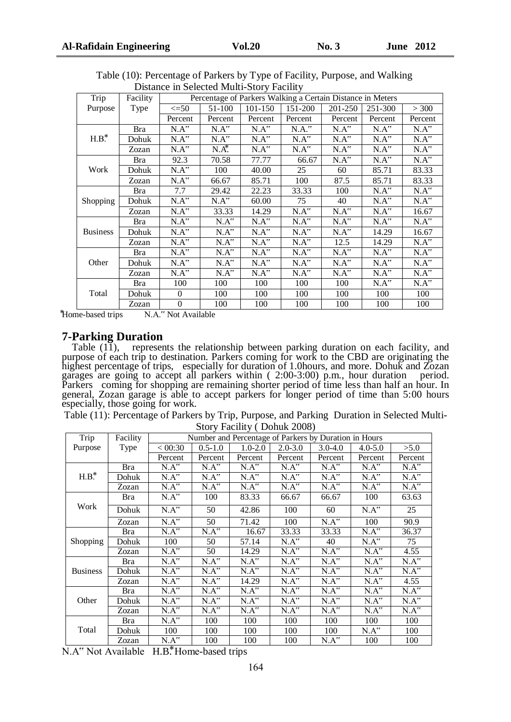| Trip            | Facility   | Percentage of Parkers Walking a Certain Distance in Meters |                      |                      |          |                      |                      |                      |
|-----------------|------------|------------------------------------------------------------|----------------------|----------------------|----------|----------------------|----------------------|----------------------|
| Purpose         | Type       | $\leq$ =50                                                 | 51-100               | 101-150<br>151-200   |          | 201-250              | 251-300              | > 300                |
|                 |            | Percent                                                    | Percent              | Percent              | Percent  | Percent              | Percent              | Percent              |
| $H.B.*$         | Bra        | N.A''                                                      | N.A''                | N.A''                | $N.A.^"$ | N.A''                | N.A''                | N.A''                |
|                 | Dohuk      | $N.A^{\prime\prime}$                                       | N.A''                | N.A''                | N.A''    | N.A''                | N.A''                | N.A''                |
|                 | Zozan      | N.A''                                                      | $N.A^*$ .            | N.A''                | N.A''    | N.A''                | N.A''                | N.A''                |
| Work            | <b>Bra</b> | 92.3                                                       | 70.58                | 77.77                | 66.67    | $N.A^{\prime\prime}$ | $N.A^{\prime\prime}$ | N.A''                |
|                 | Dohuk      | N.A''                                                      | 100                  | 40.00                | 25       | 60                   | 85.71                | 83.33                |
|                 | Zozan      | N.A''                                                      | 66.67                | 85.71                | 100      | 87.5                 | 85.71                | 83.33                |
| Shopping        | <b>Bra</b> | 7.7                                                        | 29.42                | 22.23                | 33.33    | 100                  | N.A''                | N.A''                |
|                 | Dohuk      | N.A''                                                      | N.A''                | 60.00                | 75       | 40                   | N.A''                | N.A''                |
|                 | Zozan      | N.A''                                                      | 33.33                | 14.29                | N.A''    | $N.A^{\prime\prime}$ | N.A''                | 16.67                |
|                 | Bra        | N.A''                                                      | N.A''                | N.A''                | N.A''    | N.A''                | N.A''                | $N.A^{\prime\prime}$ |
| <b>Business</b> | Dohuk      | $N.A^{\prime\prime}$                                       | $N.A^{\prime\prime}$ | N.A''                | N.A''    | N.A''                | 14.29                | 16.67                |
|                 | Zozan      | N.A''                                                      | N.A''                | $N.A^{\prime\prime}$ | N.A''    | 12.5                 | 14.29                | N.A''                |
| Other           | Bra        | N.A''                                                      | $N.A^{\prime\prime}$ | N.A''                | N.A''    | $N.A^{\prime\prime}$ | N.A''                | N.A''                |
|                 | Dohuk      | N.A''                                                      | N.A''                | N.A''                | N.A''    | N.A''                | N.A''                | N.A''                |
|                 | Zozan      | N.A''                                                      | N.A''                | N.A''                | N.A''    | N.A''                | N.A''                | N.A''                |
| Total           | <b>Bra</b> | 100                                                        | 100                  | 100                  | 100      | 100                  | N.A''                | N.A''                |
|                 | Dohuk      | $\Omega$                                                   | 100                  | 100                  | 100      | 100                  | 100                  | 100                  |
|                 | Zozan      | $\boldsymbol{0}$                                           | 100                  | 100                  | 100      | 100                  | 100                  | 100                  |

Table (10): Percentage of Parkers by Type of Facility, Purpose, and Walking Distance in Selected Multi-Story Facility

⃰Home-based trips N.A." Not Available

#### **7-Parking Duration**

Table (11), represents the relationship between parking duration on each facility, and purpose of each trip to destination. Parkers coming for work to the CBD are originating the highest percentage of trips, especially for duration of 1.0hours, and more. Dohuk and Zozan garages are going to accept all parkers within ( 2:00-3:00) p.m., hour duration period. Parkers coming for shopping are remaining shorter period of time less than half an hour. In general, Zozan garage is able to accept parkers for longer period of time than 5:00 hours especially, those going for work.

Table (11): Percentage of Parkers by Trip, Purpose, and Parking Duration in Selected Multi-Story Facility ( Dohuk 2008)

|                 | $\ldots$   |                                                       |             |                                                                                                                                                                                                                                                                       |                     |             |                           |                                 |
|-----------------|------------|-------------------------------------------------------|-------------|-----------------------------------------------------------------------------------------------------------------------------------------------------------------------------------------------------------------------------------------------------------------------|---------------------|-------------|---------------------------|---------------------------------|
| Trip            | Facility   | Number and Percentage of Parkers by Duration in Hours |             |                                                                                                                                                                                                                                                                       |                     |             |                           |                                 |
| Purpose         | Type       | < 00:30                                               | $0.5 - 1.0$ | $1.0 - 2.0$                                                                                                                                                                                                                                                           |                     | $3.0 - 4.0$ | $4.0 - 5.0$               | >5.0                            |
|                 |            | Percent                                               | Percent     | Percent                                                                                                                                                                                                                                                               | Percent             | Percent     | Percent                   | Percent                         |
| $H.B.*$         | <b>Bra</b> | $N.A^{\prime\prime}$                                  | N.A''       | $N.A^{\prime\prime}$                                                                                                                                                                                                                                                  | N.A''               | N.A''       | N.A''                     | $N.A^{\overline{\mathfrak{c}}}$ |
|                 | Dohuk      | N.A''                                                 | N.A''       | N.A''                                                                                                                                                                                                                                                                 | N.A''               | N.A''       | N.A''                     | N.A''                           |
|                 | Zozan      | N.A''                                                 | N.A''       | $N.A^{\prime\prime}$                                                                                                                                                                                                                                                  | N.A''               | N.A''       | N.A''                     | $N.A^{\overline{\alpha}}$       |
| Work            | Bra        | $N.A^{\prime\prime}$                                  | 100         | 83.33                                                                                                                                                                                                                                                                 | 66.67               | 66.67       | 100                       | 63.63                           |
|                 | Dohuk      | N.A''                                                 | 50          | 42.86                                                                                                                                                                                                                                                                 | 100                 | 60          | N.A''                     | 25                              |
|                 | Zozan      | N.A''                                                 | 50          | 71.42                                                                                                                                                                                                                                                                 | 100                 | N.A''       | 100                       | 90.9                            |
| Shopping        | Bra        | $N.A^{\prime\prime}$                                  | N.A''       | 16.67                                                                                                                                                                                                                                                                 | 33.33               | 33.33       | $N.A^{\prime\prime}$      | 36.37                           |
|                 | Dohuk      | 100                                                   | 50          | 57.14                                                                                                                                                                                                                                                                 | $NA^{\prime\prime}$ | 40          | $N.A^{\prime\prime}$      | 75                              |
|                 | Zozan      | N.A''                                                 | 50          | 14.29                                                                                                                                                                                                                                                                 | N.A''               | N.A''       | $N.A^{\overline{\alpha}}$ | 4.55                            |
|                 | <b>Bra</b> | N.A''                                                 | N.A''       | N.A''                                                                                                                                                                                                                                                                 | N.A''               | N.A''       | N.A''                     | N.A''                           |
| <b>Business</b> | Dohuk      | $N.A^{\prime\prime}$                                  | N.A''       | $N.A^{\prime\prime}$                                                                                                                                                                                                                                                  | N.A''               |             | N.A''                     | $N.A^{\prime\prime}$            |
|                 | Zozan      | $N.A^{\prime\prime}$                                  | N.A''       | $2.0 - 3.0$<br>$N.A^{\overline{\mathfrak{c}}\mathfrak{c}}$<br>N.A''<br>$N.A^{\prime\prime}$<br>14.29<br>N.A''<br>N.A''<br>N.A''<br>N.A''<br>N.A''<br>N.A''<br>N.A''<br>N.A''<br>N.A''<br>100<br>100<br>100<br>100<br>100<br>100<br>$N.A^{\prime\prime}$<br>100<br>100 | N.A''               | 4.55        |                           |                                 |
| Other           | <b>Bra</b> | $N.A^{\prime\prime}$                                  | N.A''       |                                                                                                                                                                                                                                                                       |                     |             | N.A''                     | $N.A^{\prime\prime}$            |
|                 | Dohuk      | N.A''                                                 | N.A''       |                                                                                                                                                                                                                                                                       |                     |             | N.A''                     | N.A''                           |
|                 | Zozan      | $N.A^{\prime\prime}$                                  | N.A''       |                                                                                                                                                                                                                                                                       |                     |             | N.A''                     | N.A''                           |
| Total           | Bra        | $N.A^{\prime\prime}$                                  | 100         |                                                                                                                                                                                                                                                                       |                     |             | 100                       | 100                             |
|                 | Dohuk      | 100                                                   | 100         |                                                                                                                                                                                                                                                                       |                     |             | N.A''                     | 100                             |
|                 | Zozan      | N.A''                                                 | 100         |                                                                                                                                                                                                                                                                       |                     |             | 100                       | 100                             |

N.A" Not Available H.B.\*Home-based trips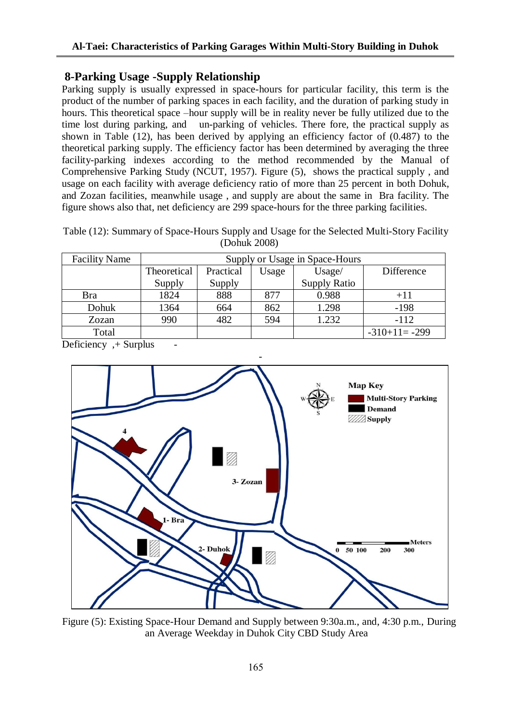## **8-Parking Usage -Supply Relationship**

Parking supply is usually expressed in space-hours for particular facility, this term is the product of the number of parking spaces in each facility, and the duration of parking study in hours. This theoretical space –hour supply will be in reality never be fully utilized due to the time lost during parking, and un-parking of vehicles. There fore, the practical supply as shown in Table (12), has been derived by applying an efficiency factor of (0.487) to the theoretical parking supply. The efficiency factor has been determined by averaging the three facility-parking indexes according to the method recommended by the Manual of Comprehensive Parking Study (NCUT, 1957). Figure (5), shows the practical supply , and usage on each facility with average deficiency ratio of more than 25 percent in both Dohuk, and Zozan facilities, meanwhile usage , and supply are about the same in Bra facility. The figure shows also that, net deficiency are 299 space-hours for the three parking facilities.

Table (12): Summary of Space-Hours Supply and Usage for the Selected Multi-Story Facility (Dohuk 2008)

| <b>Facility Name</b> | Supply or Usage in Space-Hours |           |       |                     |                 |  |  |  |
|----------------------|--------------------------------|-----------|-------|---------------------|-----------------|--|--|--|
|                      | Theoretical                    | Practical | Usage | Usage/              | Difference      |  |  |  |
|                      | Supply                         | Supply    |       | <b>Supply Ratio</b> |                 |  |  |  |
| Bra                  | 1824                           | 888       | 877   | 0.988               | $+11$           |  |  |  |
| Dohuk                | 1364                           | 664       | 862   | 1.298               | $-198$          |  |  |  |
| Zozan                | 990                            | 482       | 594   | 1.232               | $-112$          |  |  |  |
| Total                |                                |           |       |                     | $-310+11= -299$ |  |  |  |

Deficiency, + Surplus



- - Figure (5): Existing Space-Hour Demand and Supply between 9:30a.m., and, 4:30 p.m., During an Average Weekday in Duhok City CBD Study Area